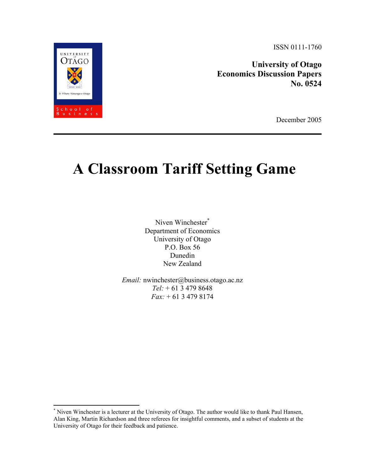**University of Otago Economics Discussion Papers No. 0524** 

December 2005

# **A Classroom Tariff Setting Game**

Niven Winchester\* Department of Economics University of Otago P.O. Box 56 Dunedin New Zealand

*Email:* nwinchester@business.otago.ac.nz *Tel:* + 61 3 479 8648 *Fax:* + 61 3 479 8174



 $\overline{a}$ 

<sup>\*</sup> Niven Winchester is a lecturer at the University of Otago. The author would like to thank Paul Hansen, Alan King, Martin Richardson and three referees for insightful comments, and a subset of students at the University of Otago for their feedback and patience.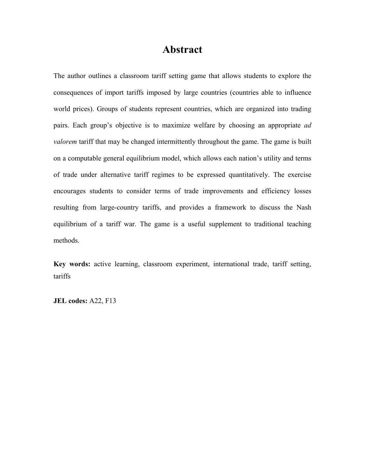# **Abstract**

The author outlines a classroom tariff setting game that allows students to explore the consequences of import tariffs imposed by large countries (countries able to influence world prices). Groups of students represent countries, which are organized into trading pairs. Each group's objective is to maximize welfare by choosing an appropriate *ad valorem* tariff that may be changed intermittently throughout the game. The game is built on a computable general equilibrium model, which allows each nation's utility and terms of trade under alternative tariff regimes to be expressed quantitatively. The exercise encourages students to consider terms of trade improvements and efficiency losses resulting from large-country tariffs, and provides a framework to discuss the Nash equilibrium of a tariff war. The game is a useful supplement to traditional teaching methods.

**Key words:** active learning, classroom experiment, international trade, tariff setting, tariffs

**JEL codes:** A22, F13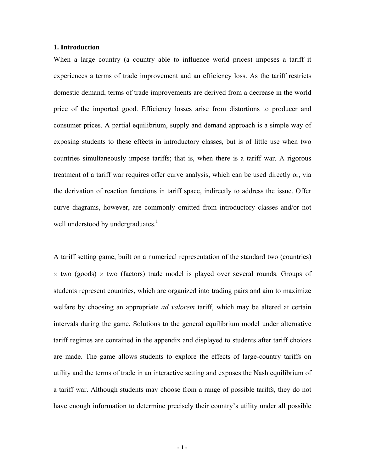## **1. Introduction**

When a large country (a country able to influence world prices) imposes a tariff it experiences a terms of trade improvement and an efficiency loss. As the tariff restricts domestic demand, terms of trade improvements are derived from a decrease in the world price of the imported good. Efficiency losses arise from distortions to producer and consumer prices. A partial equilibrium, supply and demand approach is a simple way of exposing students to these effects in introductory classes, but is of little use when two countries simultaneously impose tariffs; that is, when there is a tariff war. A rigorous treatment of a tariff war requires offer curve analysis, which can be used directly or, via the derivation of reaction functions in tariff space, indirectly to address the issue. Offer curve diagrams, however, are commonly omitted from introductory classes and/or not well understood by undergraduates. $<sup>1</sup>$ </sup>

A tariff setting game, built on a numerical representation of the standard two (countries)  $\times$  two (goods)  $\times$  two (factors) trade model is played over several rounds. Groups of students represent countries, which are organized into trading pairs and aim to maximize welfare by choosing an appropriate *ad valorem* tariff, which may be altered at certain intervals during the game. Solutions to the general equilibrium model under alternative tariff regimes are contained in the appendix and displayed to students after tariff choices are made. The game allows students to explore the effects of large-country tariffs on utility and the terms of trade in an interactive setting and exposes the Nash equilibrium of a tariff war. Although students may choose from a range of possible tariffs, they do not have enough information to determine precisely their country's utility under all possible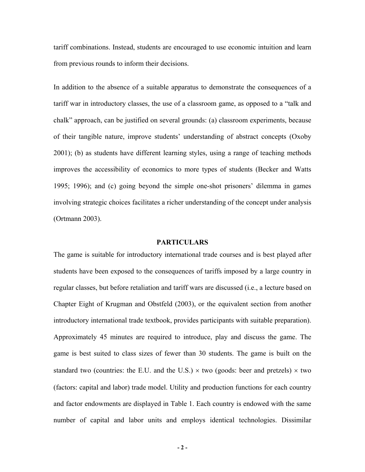tariff combinations. Instead, students are encouraged to use economic intuition and learn from previous rounds to inform their decisions.

In addition to the absence of a suitable apparatus to demonstrate the consequences of a tariff war in introductory classes, the use of a classroom game, as opposed to a "talk and chalk" approach, can be justified on several grounds: (a) classroom experiments, because of their tangible nature, improve students' understanding of abstract concepts (Oxoby 2001); (b) as students have different learning styles, using a range of teaching methods improves the accessibility of economics to more types of students (Becker and Watts 1995; 1996); and (c) going beyond the simple one-shot prisoners' dilemma in games involving strategic choices facilitates a richer understanding of the concept under analysis (Ortmann 2003).

## **PARTICULARS**

The game is suitable for introductory international trade courses and is best played after students have been exposed to the consequences of tariffs imposed by a large country in regular classes, but before retaliation and tariff wars are discussed (i.e., a lecture based on Chapter Eight of Krugman and Obstfeld (2003), or the equivalent section from another introductory international trade textbook, provides participants with suitable preparation). Approximately 45 minutes are required to introduce, play and discuss the game. The game is best suited to class sizes of fewer than 30 students. The game is built on the standard two (countries: the E.U. and the U.S.)  $\times$  two (goods: beer and pretzels)  $\times$  two (factors: capital and labor) trade model. Utility and production functions for each country and factor endowments are displayed in Table 1. Each country is endowed with the same number of capital and labor units and employs identical technologies. Dissimilar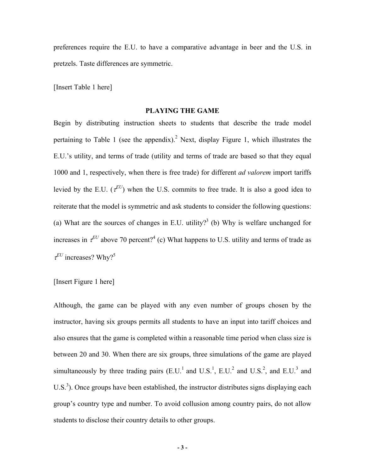preferences require the E.U. to have a comparative advantage in beer and the U.S. in pretzels. Taste differences are symmetric.

[Insert Table 1 here]

#### **PLAYING THE GAME**

Begin by distributing instruction sheets to students that describe the trade model pertaining to Table 1 (see the appendix).<sup>2</sup> Next, display Figure 1, which illustrates the E.U.'s utility, and terms of trade (utility and terms of trade are based so that they equal 1000 and 1, respectively, when there is free trade) for different *ad valorem* import tariffs levied by the E.U.  $(\tau^{EU})$  when the U.S. commits to free trade. It is also a good idea to reiterate that the model is symmetric and ask students to consider the following questions: (a) What are the sources of changes in E.U. utility?<sup>3</sup> (b) Why is welfare unchanged for increases in  $\tau^{EU}$  above 70 percent?<sup>4</sup> (c) What happens to U.S. utility and terms of trade as  $\tau^{EU}$  increases? Why?<sup>5</sup>

#### [Insert Figure 1 here]

Although, the game can be played with any even number of groups chosen by the instructor, having six groups permits all students to have an input into tariff choices and also ensures that the game is completed within a reasonable time period when class size is between 20 and 30. When there are six groups, three simulations of the game are played simultaneously by three trading pairs  $(E.U.^1$  and  $U.S.^1$ ,  $E.U.^2$  and  $U.S.^2$ , and  $E.U.^3$  and  $U.S.<sup>3</sup>$ ). Once groups have been established, the instructor distributes signs displaying each group's country type and number. To avoid collusion among country pairs, do not allow students to disclose their country details to other groups.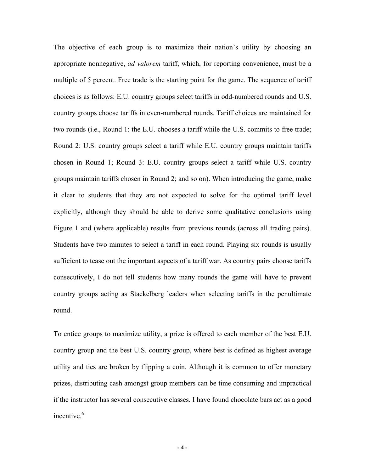The objective of each group is to maximize their nation's utility by choosing an appropriate nonnegative, *ad valorem* tariff, which, for reporting convenience, must be a multiple of 5 percent. Free trade is the starting point for the game. The sequence of tariff choices is as follows: E.U. country groups select tariffs in odd-numbered rounds and U.S. country groups choose tariffs in even-numbered rounds. Tariff choices are maintained for two rounds (i.e., Round 1: the E.U. chooses a tariff while the U.S. commits to free trade; Round 2: U.S. country groups select a tariff while E.U. country groups maintain tariffs chosen in Round 1; Round 3: E.U. country groups select a tariff while U.S. country groups maintain tariffs chosen in Round 2; and so on). When introducing the game, make it clear to students that they are not expected to solve for the optimal tariff level explicitly, although they should be able to derive some qualitative conclusions using Figure 1 and (where applicable) results from previous rounds (across all trading pairs). Students have two minutes to select a tariff in each round. Playing six rounds is usually sufficient to tease out the important aspects of a tariff war. As country pairs choose tariffs consecutively, I do not tell students how many rounds the game will have to prevent country groups acting as Stackelberg leaders when selecting tariffs in the penultimate round.

To entice groups to maximize utility, a prize is offered to each member of the best E.U. country group and the best U.S. country group, where best is defined as highest average utility and ties are broken by flipping a coin. Although it is common to offer monetary prizes, distributing cash amongst group members can be time consuming and impractical if the instructor has several consecutive classes. I have found chocolate bars act as a good incentive  $6$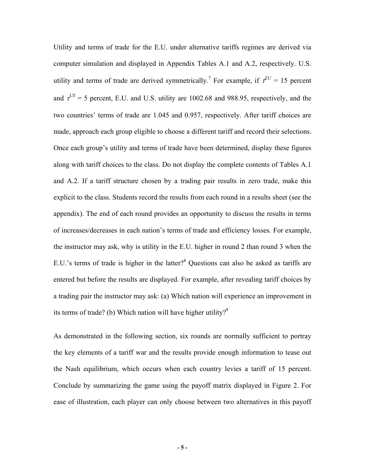Utility and terms of trade for the E.U. under alternative tariffs regimes are derived via computer simulation and displayed in Appendix Tables A.1 and A.2, respectively. U.S. utility and terms of trade are derived symmetrically.<sup>7</sup> For example, if  $\tau^{EU} = 15$  percent and  $\tau^{US}$  = 5 percent, E.U. and U.S. utility are 1002.68 and 988.95, respectively, and the two countries' terms of trade are 1.045 and 0.957, respectively. After tariff choices are made, approach each group eligible to choose a different tariff and record their selections. Once each group's utility and terms of trade have been determined, display these figures along with tariff choices to the class. Do not display the complete contents of Tables A.1 and A.2. If a tariff structure chosen by a trading pair results in zero trade, make this explicit to the class. Students record the results from each round in a results sheet (see the appendix). The end of each round provides an opportunity to discuss the results in terms of increases/decreases in each nation's terms of trade and efficiency losses. For example, the instructor may ask, why is utility in the E.U. higher in round 2 than round 3 when the E.U.'s terms of trade is higher in the latter? $8$  Questions can also be asked as tariffs are entered but before the results are displayed. For example, after revealing tariff choices by a trading pair the instructor may ask: (a) Which nation will experience an improvement in its terms of trade? (b) Which nation will have higher utility? $9^9$ 

As demonstrated in the following section, six rounds are normally sufficient to portray the key elements of a tariff war and the results provide enough information to tease out the Nash equilibrium, which occurs when each country levies a tariff of 15 percent. Conclude by summarizing the game using the payoff matrix displayed in Figure 2. For ease of illustration, each player can only choose between two alternatives in this payoff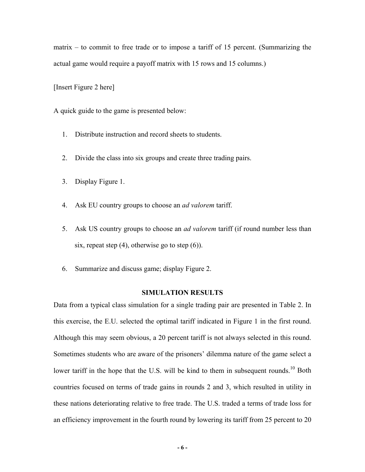matrix – to commit to free trade or to impose a tariff of 15 percent. (Summarizing the actual game would require a payoff matrix with 15 rows and 15 columns.)

[Insert Figure 2 here]

A quick guide to the game is presented below:

- 1. Distribute instruction and record sheets to students.
- 2. Divide the class into six groups and create three trading pairs.
- 3. Display Figure 1.
- 4. Ask EU country groups to choose an *ad valorem* tariff.
- 5. Ask US country groups to choose an *ad valorem* tariff (if round number less than six, repeat step (4), otherwise go to step (6)).
- 6. Summarize and discuss game; display Figure 2.

# **SIMULATION RESULTS**

Data from a typical class simulation for a single trading pair are presented in Table 2. In this exercise, the E.U. selected the optimal tariff indicated in Figure 1 in the first round. Although this may seem obvious, a 20 percent tariff is not always selected in this round. Sometimes students who are aware of the prisoners' dilemma nature of the game select a lower tariff in the hope that the U.S. will be kind to them in subsequent rounds.<sup>10</sup> Both countries focused on terms of trade gains in rounds 2 and 3, which resulted in utility in these nations deteriorating relative to free trade. The U.S. traded a terms of trade loss for an efficiency improvement in the fourth round by lowering its tariff from 25 percent to 20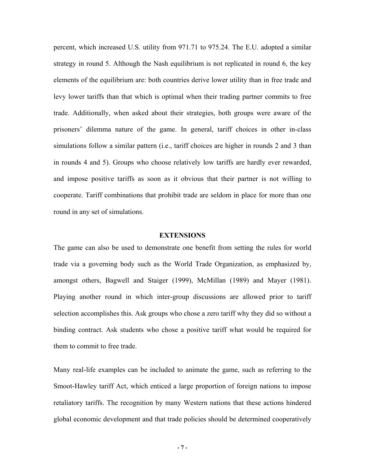percent, which increased U.S. utility from 971.71 to 975.24. The E.U. adopted a similar strategy in round 5. Although the Nash equilibrium is not replicated in round 6, the key elements of the equilibrium are: both countries derive lower utility than in free trade and levy lower tariffs than that which is optimal when their trading partner commits to free trade. Additionally, when asked about their strategies, both groups were aware of the prisoners' dilemma nature of the game. In general, tariff choices in other in-class simulations follow a similar pattern (i.e., tariff choices are higher in rounds 2 and 3 than in rounds 4 and 5). Groups who choose relatively low tariffs are hardly ever rewarded, and impose positive tariffs as soon as it obvious that their partner is not willing to cooperate. Tariff combinations that prohibit trade are seldom in place for more than one round in any set of simulations.

#### **EXTENSIONS**

The game can also be used to demonstrate one benefit from setting the rules for world trade via a governing body such as the World Trade Organization, as emphasized by, amongst others, Bagwell and Staiger (1999), McMillan (1989) and Mayer (1981). Playing another round in which inter-group discussions are allowed prior to tariff selection accomplishes this. Ask groups who chose a zero tariff why they did so without a binding contract. Ask students who chose a positive tariff what would be required for them to commit to free trade.

Many real-life examples can be included to animate the game, such as referring to the Smoot-Hawley tariff Act, which enticed a large proportion of foreign nations to impose retaliatory tariffs. The recognition by many Western nations that these actions hindered global economic development and that trade policies should be determined cooperatively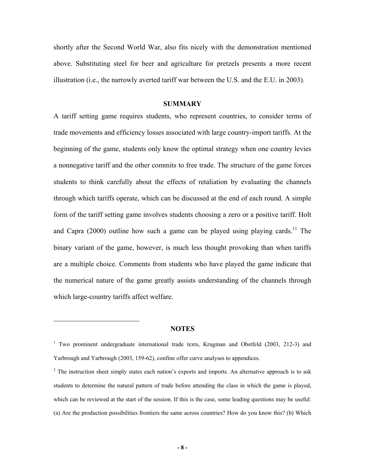shortly after the Second World War, also fits nicely with the demonstration mentioned above. Substituting steel for beer and agriculture for pretzels presents a more recent illustration (i.e., the narrowly averted tariff war between the U.S. and the E.U. in 2003).

#### **SUMMARY**

A tariff setting game requires students, who represent countries, to consider terms of trade movements and efficiency losses associated with large country-import tariffs. At the beginning of the game, students only know the optimal strategy when one country levies a nonnegative tariff and the other commits to free trade. The structure of the game forces students to think carefully about the effects of retaliation by evaluating the channels through which tariffs operate, which can be discussed at the end of each round. A simple form of the tariff setting game involves students choosing a zero or a positive tariff. Holt and Capra (2000) outline how such a game can be played using playing cards.<sup>11</sup> The binary variant of the game, however, is much less thought provoking than when tariffs are a multiple choice. Comments from students who have played the game indicate that the numerical nature of the game greatly assists understanding of the channels through which large-country tariffs affect welfare.

#### **NOTES**

 $\overline{a}$ 

<sup>&</sup>lt;sup>1</sup> Two prominent undergraduate international trade texts, Krugman and Obstfeld (2003, 212-3) and Yarbrough and Yarbrough (2003, 159-62), confine offer curve analyses to appendices.

 $2$  The instruction sheet simply states each nation's exports and imports. An alternative approach is to ask students to determine the natural pattern of trade before attending the class in which the game is played, which can be reviewed at the start of the session. If this is the case, some leading questions may be useful: (a) Are the production possibilities frontiers the same across countries? How do you know this? (b) Which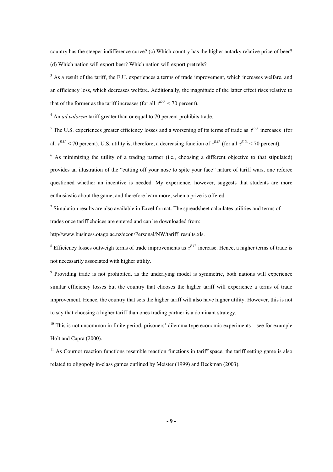country has the steeper indifference curve? (c) Which country has the higher autarky relative price of beer? (d) Which nation will export beer? Which nation will export pretzels?

<sup>3</sup> As a result of the tariff, the E.U. experiences a terms of trade improvement, which increases welfare, and an efficiency loss, which decreases welfare. Additionally, the magnitude of the latter effect rises relative to that of the former as the tariff increases (for all  $\tau^{E.U.}$  < 70 percent).

<sup>4</sup> An *ad valorem* tariff greater than or equal to 70 percent prohibits trade.

<sup>5</sup> The U.S. experiences greater efficiency losses and a worsening of its terms of trade as  $\tau^{E.U.}$  increases (for all  $t^{E.U.}$  < 70 percent). U.S. utility is, therefore, a decreasing function of  $t^{E.U.}$  (for all  $t^{E.U.}$  < 70 percent).

<sup>6</sup> As minimizing the utility of a trading partner (i.e., choosing a different objective to that stipulated) provides an illustration of the "cutting off your nose to spite your face" nature of tariff wars, one referee questioned whether an incentive is needed. My experience, however, suggests that students are more enthusiastic about the game, and therefore learn more, when a prize is offered.

 $<sup>7</sup>$  Simulation results are also available in Excel format. The spreadsheet calculates utilities and terms of</sup> trades once tariff choices are entered and can be downloaded from:

http//www.business.otago.ac.nz/econ/Personal/NW/tariff\_results.xls.

<sup>8</sup> Efficiency losses outweigh terms of trade improvements as  $\tau^{E,U}$  increase. Hence, a higher terms of trade is not necessarily associated with higher utility.

<sup>9</sup> Providing trade is not prohibited, as the underlying model is symmetric, both nations will experience similar efficiency losses but the country that chooses the higher tariff will experience a terms of trade improvement. Hence, the country that sets the higher tariff will also have higher utility. However, this is not to say that choosing a higher tariff than ones trading partner is a dominant strategy.

 $10$  This is not uncommon in finite period, prisoners' dilemma type economic experiments – see for example Holt and Capra (2000).

 $11$  As Cournot reaction functions resemble reaction functions in tariff space, the tariff setting game is also related to oligopoly in-class games outlined by Meister (1999) and Beckman (2003).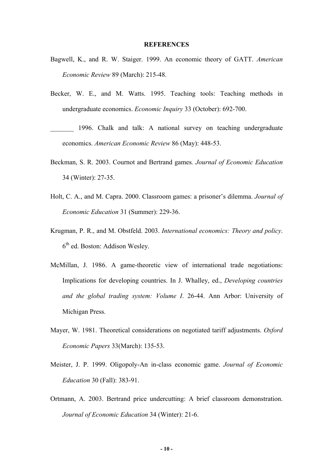#### **REFERENCES**

- Bagwell, K., and R. W. Staiger. 1999. An economic theory of GATT. *American Economic Review* 89 (March): 215-48.
- Becker, W. E., and M. Watts. 1995. Teaching tools: Teaching methods in undergraduate economics. *Economic Inquiry* 33 (October): 692-700.
- 1996. Chalk and talk: A national survey on teaching undergraduate economics. *American Economic Review* 86 (May): 448-53.
- Beckman, S. R. 2003. Cournot and Bertrand games*. Journal of Economic Education* 34 (Winter): 27-35.
- Holt, C. A., and M. Capra. 2000. Classroom games: a prisoner's dilemma. *Journal of Economic Education* 31 (Summer): 229-36.
- Krugman, P. R., and M. Obstfeld. 2003. *International economics: Theory and policy*.  $6<sup>th</sup>$  ed. Boston: Addison Wesley.
- McMillan, J. 1986. A game-theoretic view of international trade negotiations: Implications for developing countries. In J. Whalley, ed., *Developing countries and the global trading system: Volume I*. 26-44. Ann Arbor: University of Michigan Press.
- Mayer, W. 1981. Theoretical considerations on negotiated tariff adjustments. *Oxford Economic Papers* 33(March): 135-53.
- Meister, J. P. 1999. Oligopoly-An in-class economic game. *Journal of Economic Education* 30 (Fall): 383-91.
- Ortmann, A. 2003. Bertrand price undercutting: A brief classroom demonstration. *Journal of Economic Education* 34 (Winter): 21-6.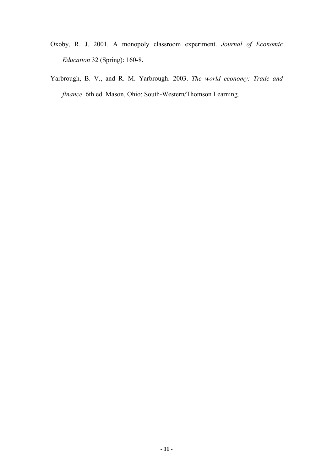- Oxoby, R. J. 2001. A monopoly classroom experiment. *Journal of Economic Education* 32 (Spring): 160-8.
- Yarbrough, B. V., and R. M. Yarbrough. 2003. *The world economy: Trade and finance*. 6th ed. Mason, Ohio: South-Western/Thomson Learning.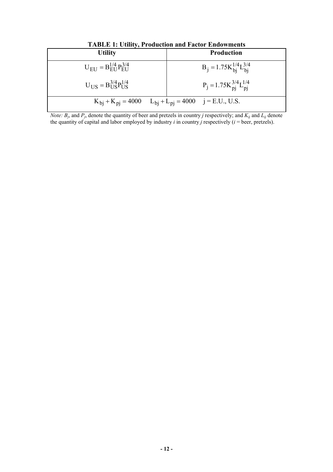| <b>TADLE 1. UTHLY, I FOURCHON AND FACTOL ENGOWHICHTS</b>     |                                                                    |  |  |  |  |  |  |  |  |  |  |  |
|--------------------------------------------------------------|--------------------------------------------------------------------|--|--|--|--|--|--|--|--|--|--|--|
| <b>Utility</b>                                               | <b>Production</b>                                                  |  |  |  |  |  |  |  |  |  |  |  |
| $U_{\text{EII}} = B_{\text{EII}}^{1/4} P_{\text{EII}}^{3/4}$ | $B_j = 1.75K_{bi}^{1/4}L_{bi}^{3/4}$                               |  |  |  |  |  |  |  |  |  |  |  |
| $U_{\text{IIS}} = B_{\text{IIS}}^{3/4} P_{\text{IIS}}^{1/4}$ | $P_j = 1.75K_{pi}^{3/4}L_{pi}^{1/4}$                               |  |  |  |  |  |  |  |  |  |  |  |
|                                                              | $K_{bi} + K_{Di} = 4000$ $L_{bi} + L_{Di} = 4000$ $j = E.U., U.S.$ |  |  |  |  |  |  |  |  |  |  |  |

**TABLE 1: Utility, Production and Factor Endowments** 

*Note:*  $B_j$ , and  $P_j$ , denote the quantity of beer and pretzels in country *j* respectively; and  $K_{ij}$  and  $L_{ij}$  denote the quantity of capital and labor employed by industry *i* in country *j* respectively (*i* = beer, pretzels).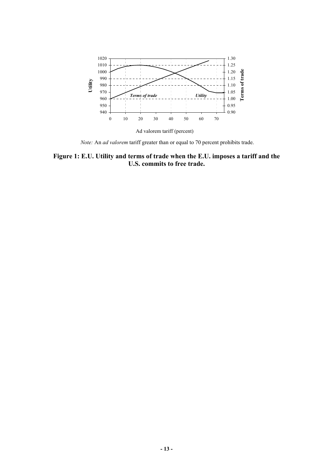

*Note:* An *ad valorem* tariff greater than or equal to 70 percent prohibits trade.

# **Figure 1: E.U. Utility and terms of trade when the E.U. imposes a tariff and the U.S. commits to free trade.**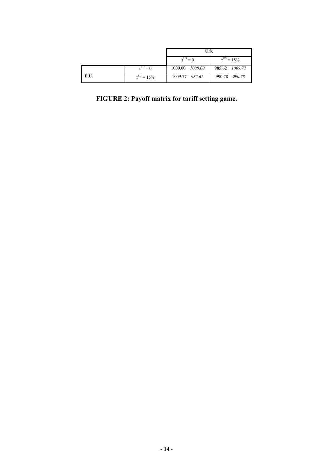|      |                           | U.S.                 |                           |  |  |  |  |  |
|------|---------------------------|----------------------|---------------------------|--|--|--|--|--|
|      |                           | $\tau^{\text{US}}=0$ | $\tau^{\text{US}} = 15\%$ |  |  |  |  |  |
|      | $\tau^{\text{EU}}=0$      | 1000.00 1000.00      | 985.62 1009.77            |  |  |  |  |  |
| E.U. | $\tau^{\text{EU}} = 15\%$ | 1009.77 985.62       | 990.78 990.78             |  |  |  |  |  |

**FIGURE 2: Payoff matrix for tariff setting game.**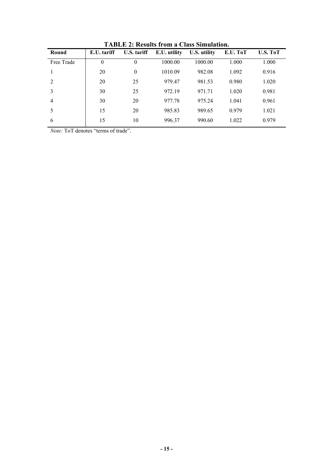| E.U. tariff<br>Round |          | U.S. tariff | E.U. utility | U.S. utility | E.U. ToT | U.S. ToT |  |  |
|----------------------|----------|-------------|--------------|--------------|----------|----------|--|--|
| Free Trade           | $\theta$ | 0           | 1000.00      | 1000.00      | 1.000    | 1.000    |  |  |
|                      | 20       | $\theta$    | 1010.09      | 982.08       | 1.092    | 0.916    |  |  |
| $\overline{2}$       | 20       | 25          | 979.47       | 981.53       | 0.980    | 1.020    |  |  |
| 3                    | 30       | 25          | 972.19       | 971.71       | 1.020    | 0.981    |  |  |
| $\overline{4}$       | 30       | 20          | 977.78       | 975.24       | 1.041    | 0.961    |  |  |
| 5                    | 15       | 20          | 985.83       | 989.65       | 0.979    | 1.021    |  |  |
| 6                    | 15       | 10          | 996.37       | 990.60       | 1.022    | 0.979    |  |  |

**TABLE 2: Results from a Class Simulation.** 

*Note:* ToT denotes "terms of trade".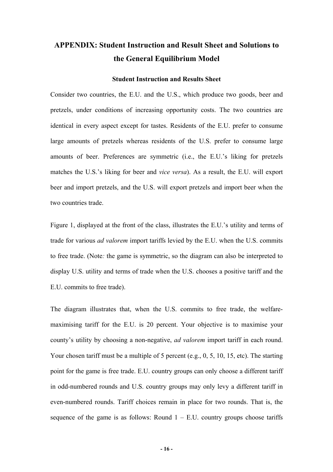# **APPENDIX: Student Instruction and Result Sheet and Solutions to the General Equilibrium Model**

## **Student Instruction and Results Sheet**

Consider two countries, the E.U. and the U.S., which produce two goods, beer and pretzels, under conditions of increasing opportunity costs. The two countries are identical in every aspect except for tastes. Residents of the E.U. prefer to consume large amounts of pretzels whereas residents of the U.S. prefer to consume large amounts of beer. Preferences are symmetric (i.e., the E.U.'s liking for pretzels matches the U.S.'s liking for beer and *vice versa*). As a result, the E.U. will export beer and import pretzels, and the U.S. will export pretzels and import beer when the two countries trade.

Figure 1, displayed at the front of the class, illustrates the E.U.'s utility and terms of trade for various *ad valorem* import tariffs levied by the E.U. when the U.S. commits to free trade. (Note*:* the game is symmetric, so the diagram can also be interpreted to display U.S. utility and terms of trade when the U.S. chooses a positive tariff and the E.U. commits to free trade).

The diagram illustrates that, when the U.S. commits to free trade, the welfaremaximising tariff for the E.U. is 20 percent. Your objective is to maximise your county's utility by choosing a non-negative, *ad valorem* import tariff in each round. Your chosen tariff must be a multiple of 5 percent (e.g., 0, 5, 10, 15, etc). The starting point for the game is free trade. E.U. country groups can only choose a different tariff in odd-numbered rounds and U.S. country groups may only levy a different tariff in even-numbered rounds. Tariff choices remain in place for two rounds. That is, the sequence of the game is as follows: Round  $1 - E.U$ . country groups choose tariffs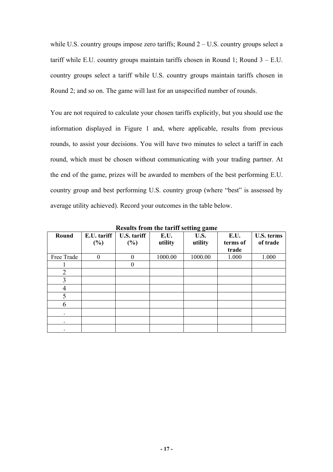while U.S. country groups impose zero tariffs; Round 2 – U.S. country groups select a tariff while E.U. country groups maintain tariffs chosen in Round 1; Round  $3 - E.U$ . country groups select a tariff while U.S. country groups maintain tariffs chosen in Round 2; and so on. The game will last for an unspecified number of rounds.

You are not required to calculate your chosen tariffs explicitly, but you should use the information displayed in Figure 1 and, where applicable, results from previous rounds, to assist your decisions. You will have two minutes to select a tariff in each round, which must be chosen without communicating with your trading partner. At the end of the game, prizes will be awarded to members of the best performing E.U. country group and best performing U.S. country group (where "best" is assessed by average utility achieved). Record your outcomes in the table below.

|            | results from the turns setting guine |             |         |         |          |                   |  |  |  |  |  |  |
|------------|--------------------------------------|-------------|---------|---------|----------|-------------------|--|--|--|--|--|--|
| Round      | E.U. tariff                          | U.S. tariff | E.U.    | U.S.    | E.U.     | <b>U.S. terms</b> |  |  |  |  |  |  |
|            | $(\%)$                               | $(\%)$      | utility | utility | terms of | of trade          |  |  |  |  |  |  |
|            |                                      |             |         |         | trade    |                   |  |  |  |  |  |  |
| Free Trade | $\theta$                             | $\theta$    | 1000.00 | 1000.00 | 1.000    | 1.000             |  |  |  |  |  |  |
|            |                                      | $\theta$    |         |         |          |                   |  |  |  |  |  |  |
| 2          |                                      |             |         |         |          |                   |  |  |  |  |  |  |
| 3          |                                      |             |         |         |          |                   |  |  |  |  |  |  |
| 4          |                                      |             |         |         |          |                   |  |  |  |  |  |  |
|            |                                      |             |         |         |          |                   |  |  |  |  |  |  |
| 6          |                                      |             |         |         |          |                   |  |  |  |  |  |  |
|            |                                      |             |         |         |          |                   |  |  |  |  |  |  |
| ٠          |                                      |             |         |         |          |                   |  |  |  |  |  |  |
| $\bullet$  |                                      |             |         |         |          |                   |  |  |  |  |  |  |

**Results from the tariff setting game**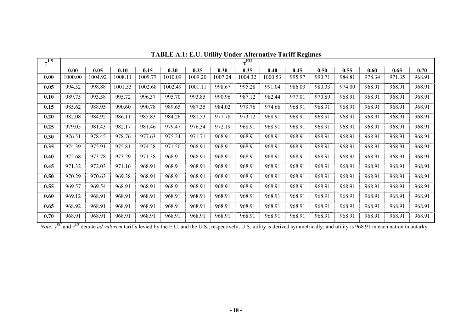| $\tau^{\text{US}}$ |         |         |         |         |         |         |         | $\tau^{\overline{\text{EU}}}$ |         |        |        |        |        |        |        |
|--------------------|---------|---------|---------|---------|---------|---------|---------|-------------------------------|---------|--------|--------|--------|--------|--------|--------|
|                    | 0.00    | 0.05    | 0.10    | 0.15    | 0.20    | 0.25    | 0.30    | 0.35                          | 0.40    | 0.45   | 0.50   | 0.55   | 0.60   | 0.65   | 0.70   |
| 0.00               | 1000.00 | 1004.92 | 1008.11 | 1009.77 | 1010.09 | 1009.20 | 1007.24 | 1004.32                       | 1000.53 | 995.97 | 990.71 | 984.81 | 978.34 | 971.35 | 968.91 |
| 0.05               | 994.52  | 998.88  | 1001.53 | 1002.68 | 1002.49 | 1001.11 | 998.67  | 995.28                        | 991.04  | 986.03 | 980.33 | 974.00 | 968.91 | 968.91 | 968.91 |
| 0.10               | 989.75  | 993.58  | 995.72  | 996.37  | 995.70  | 993.85  | 990.96  | 987.12                        | 982.44  | 977.01 | 970.89 | 968.91 | 968.91 | 968.91 | 968.91 |
| 0.15               | 985.62  | 988.95  | 990.60  | 990.78  | 989.65  | 987.35  | 984.02  | 979.76                        | 974.66  | 968.91 | 968.91 | 968.91 | 968.91 | 968.91 | 968.91 |
| 0.20               | 982.08  | 984.92  | 986.11  | 985.83  | 984.26  | 981.53  | 977.78  | 973.12                        | 968.91  | 968.91 | 968.91 | 968.91 | 968.91 | 968.91 | 968.91 |
| 0.25               | 979.05  | 981.43  | 982.17  | 981.46  | 979.47  | 976.34  | 972.19  | 968.91                        | 968.91  | 968.91 | 968.91 | 968.91 | 968.91 | 968.91 | 968.91 |
| 0.30               | 976.51  | 978.45  | 978.76  | 977.63  | 975.24  | 971.71  | 968.91  | 968.91                        | 968.91  | 968.91 | 968.91 | 968.91 | 968.91 | 968.91 | 968.91 |
| 0.35               | 974.39  | 975.91  | 975.81  | 974.28  | 971.50  | 968.91  | 968.91  | 968.91                        | 968.91  | 968.91 | 968.91 | 968.91 | 968.91 | 968.91 | 968.91 |
| 0.40               | 972.68  | 973.78  | 973.29  | 971.38  | 968.91  | 968.91  | 968.91  | 968.91                        | 968.91  | 968.91 | 968.91 | 968.91 | 968.91 | 968.91 | 968.91 |
| 0.45               | 971.32  | 972.03  | 971.16  | 968.91  | 968.91  | 968.91  | 968.91  | 968.91                        | 968.91  | 968.91 | 968.91 | 968.91 | 968.91 | 968.91 | 968.91 |
| 0.50               | 970.29  | 970.63  | 969.38  | 968.91  | 968.91  | 968.91  | 968.91  | 968.91                        | 968.91  | 968.91 | 968.91 | 968.91 | 968.91 | 968.91 | 968.91 |
| 0.55               | 969.57  | 969.54  | 968.91  | 968.91  | 968.91  | 968.91  | 968.91  | 968.91                        | 968.91  | 968.91 | 968.91 | 968.91 | 968.91 | 968.91 | 968.91 |
| 0.60               | 969.12  | 968.91  | 968.91  | 968.91  | 968.91  | 968.91  | 968.91  | 968.91                        | 968.91  | 968.91 | 968.91 | 968.91 | 968.91 | 968.91 | 968.91 |
| 0.65               | 968.92  | 968.91  | 968.91  | 968.91  | 968.91  | 968.91  | 968.91  | 968.91                        | 968.91  | 968.91 | 968.91 | 968.91 | 968.91 | 968.91 | 968.91 |
| 0.70               | 968.91  | 968.91  | 968.91  | 968.91  | 968.91  | 968.91  | 968.91  | 968.91                        | 968.91  | 968.91 | 968.91 | 968.91 | 968.91 | 968.91 | 968.91 |

**TABLE A.1: E.U. Utility Under Alternative Tariff Regimes** 

*Note:*  $\tau^{EU}$  and  $\tau^{US}$  denote *ad valorem* tariffs levied by the E.U. and the U.S., respectively; U.S. utility is derived symmetrically; and utility is 968.91 in each nation in autarky.